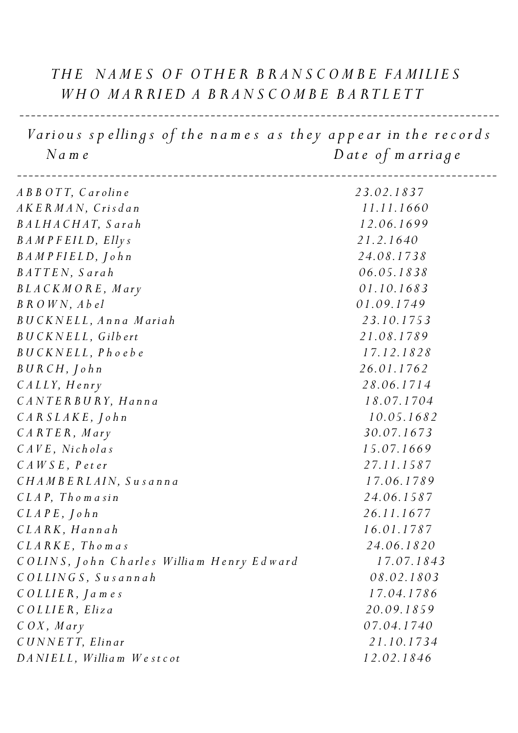## THE NAMES OF OTHER BRANSCOMBE FAMILIES  *W H O M A R RI E D A B R A N S C O M B E B A R T L E T T*

Various spellings of the names as they appear in the records  *N a m e D at e o f m a rria g e*

*-----------------------------------------------------------------------------------*

| 23.02.1837 |
|------------|
| 11.11.1660 |
| 12.06.1699 |
| 21.2.1640  |
| 24.08.1738 |
| 06.05.1838 |
| 01.10.1683 |
| 01.09.1749 |
| 23.10.1753 |
| 21.08.1789 |
| 17.12.1828 |
| 26.01.1762 |
| 28.06.1714 |
| 18.07.1704 |
| 10.05.1682 |
| 30.07.1673 |
| 15.07.1669 |
| 27.11.1587 |
| 17.06.1789 |
| 24.06.1587 |
| 26.11.1677 |
| 16.01.1787 |
| 24.06.1820 |
| 17.07.1843 |
| 08.02.1803 |
| 17.04.1786 |
| 20.09.1859 |
| 07.04.1740 |
| 21.10.1734 |
| 12.02.1846 |
|            |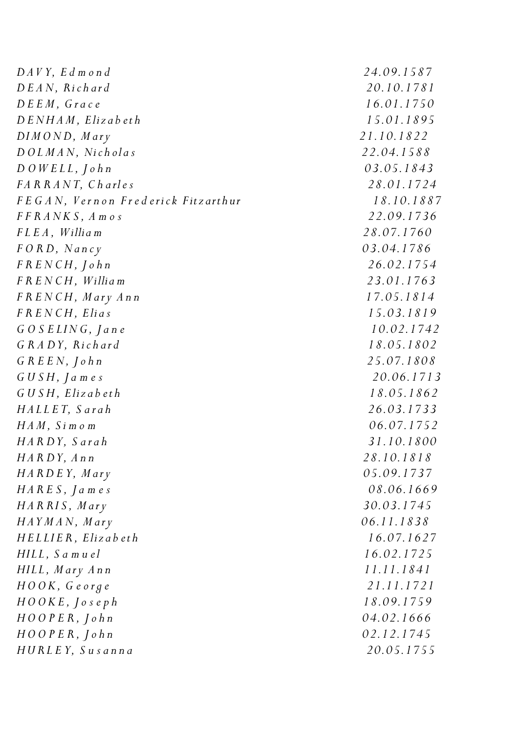*D AV Y, E d m o n d 24.09.1587 D E A N, Ri c h ar d 20.10.1781 D E E M , G r a c e 16.01.1750 D E N H A M , Eliz a b et h 15.01.1895 DI M O N D, M ar y 21.10.1822 D O L M A N, Ni c h ol a s 22.04.1588 D O W E L L , J o h n 03.05.1843 F A R R A N T, C h a rl e s 28.01.1724 F E G A N, V e r n o n F r e d e ri c k Fitz arth ur 18.10.1887 F F R A N K S , A m o s 22.09.1736 F L E A , Willia m 28.07.1760 F O R D, N a n c y 03.04.1786 F R E N C H , J o h n 26.02.1754 F R E N C H , Willia m 23.01.1763 F R E N C H , M ar y A n n 17.05.1814 F R E N C H , Elia s 15.03.1819 G O S E LI N G , J a n e 10.02.1742 G R A DY, Ri c h ar d 18.05.1802 G R E E N , J o h n 25.07.1808 G U S H , J a m e s 20.06.1713 G U S H , Eliz a b e t h 18.05.1862 H A L L E T, S a r a h 26.03.1733 H A M , S i m o m 06.07.1752 H A R DY, S a r a h 31.10.1800 H A R DY, A n n 28.10.1818 H A R D E Y, M ar y 05.09.1737 H A R E S , J a m e s 08.06.1669 H A R RI S , M ar y 30.03.1745 H AY M A N, M ar y 06.11.1838 H E L LI E R , Eliz a b e t h 16.07.1627 HIL L , S a m u el 16.02.1725 HIL L , M ar y A n n 11.11.1841 H O O K , G e o r g e 21.11.1721 H O O K E , J o s e p h 18.09.1759 H O O P E R , J o h n 04.02.1666 H O O P E R , J o h n 02.12.1745 H U R L E Y, S u s a n n a 20.05.1755*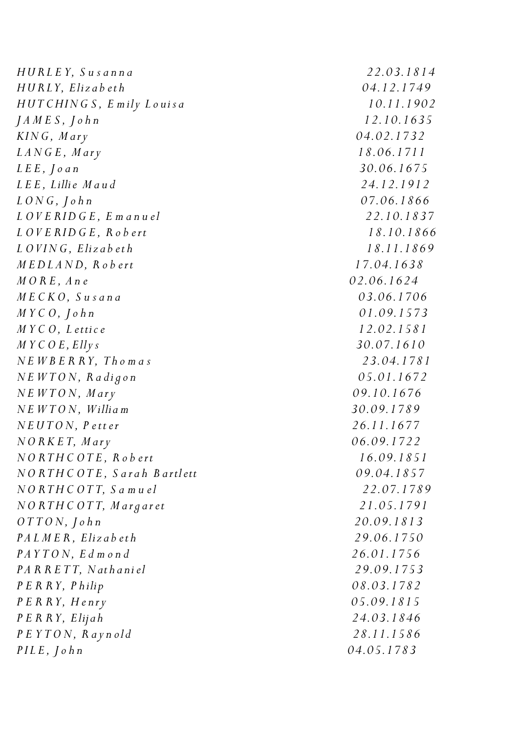*H U R L E Y, S u s a n n a 22.03.1814 H U R LY, Eliz a b e t h 04.12.1749 H U T C HIN G S , E m ily L o ui s a 10.11.1902 J A M E S , J o h n 12.10.1635 KIN G , M ar y 04.02.1732 L A N G E , M ar y 18.06.1711 L E E , J o a n 30.06.1675 L E E*, *Lillie M* a u d 24.12.1912 *L O N G , J o h n 07.06.1866 L O V E R I D G E , E m a n u el 22.10.1837 L O V E R I D G E , R o b e rt 18.10.1866 L O VI N G , Eliz a b et h 18.11.1869 M E D L A N D, R o b e rt 17.04.1638 M O R E , A n e 02.06.1624 M E C K O , S u s a n a 03.06.1706 M Y C O , J o h n 01.09.1573 M Y C O , L ettic e 12.02.1581 M Y C O E, Elly s 30.07.1610 N E W B E R R Y, T h o m a s 23.04.1781 N E W T O N, R a di g o n 05.01.1672 N E W T O N, M ar y 09.10.1676 N E W T O N, Willia m 30.09.1789 N E U T O N, P e tt er 26.11.1677 N O R K E T, M ar y 06.09.1722 N O R T H C O T E , R o b e rt 16.09.1851 N O R T H C O T E , S a r a h B artl ett 09.04.1857 N O R T H C O T T, S a m u el 22.07.1789 N O R T H C O T T, M a r g ar et 21.05.1791 O T T O N, J o h n 20.09.1813 P A L M E R , Eliz a b e t h 29.06.1750 P A Y T O N, E d m o n d 26.01.1756 P A R R E T T, N ath a ni el 29.09.1753 P E R R Y, P hilip 08.03.1782 P E R R Y, H e nr y 05.09.1815 P E R R Y, Elijah 24.03.1846 P E Y T O N , R a y n ol d 28.11.1586 P I L E , J o h n 04.05.1783*